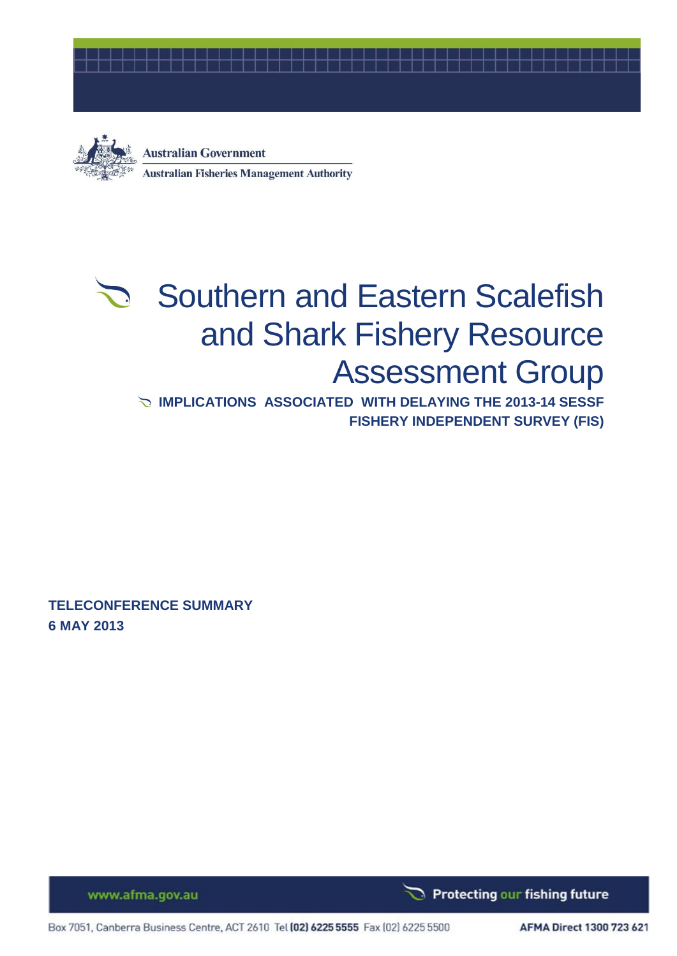



**Australian Government Australian Fisheries Management Authority** 

# Southern and Eastern Scalefish and Shark Fishery Resource Assessment Group

**IMPLICATIONS ASSOCIATED WITH DELAYING THE 2013-14 SESSF FISHERY INDEPENDENT SURVEY (FIS)**

**TELECONFERENCE SUMMARY 6 MAY 2013**

Protecting our fishing future

www.afma.gov.au

Box 7051, Canberra Business Centre, ACT 2610 Tel (02) 6225 5555 Fax (02) 6225 5500

AFMA Direct 1300 723 621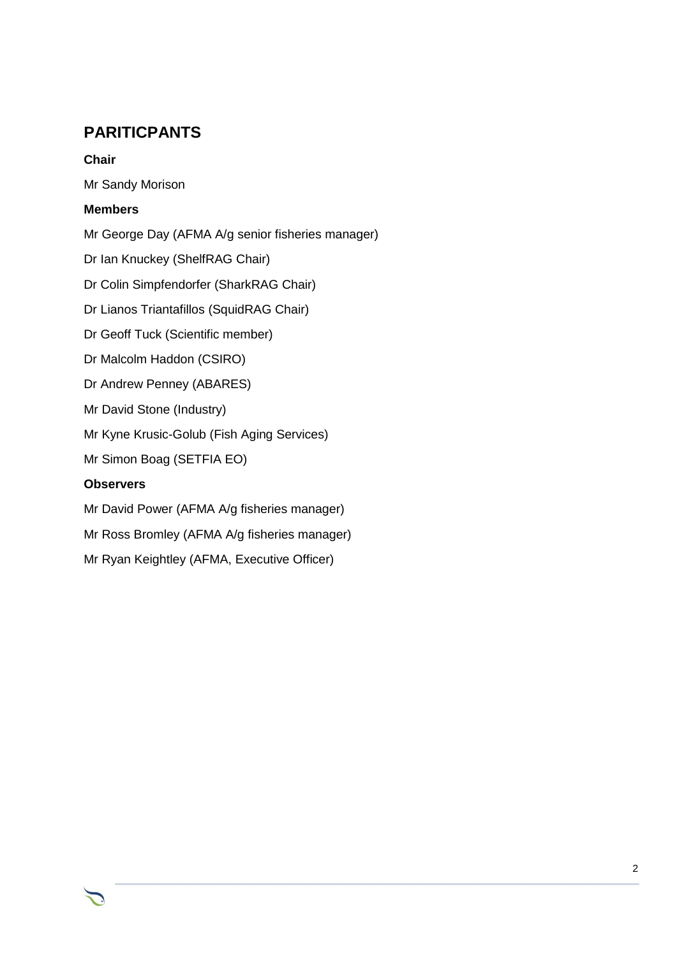# **PARITICPANTS**

### **Chair**

Mr Sandy Morison

## **Members**

Mr George Day (AFMA A/g senior fisheries manager)

Dr Ian Knuckey (ShelfRAG Chair)

Dr Colin Simpfendorfer (SharkRAG Chair)

Dr Lianos Triantafillos (SquidRAG Chair)

Dr Geoff Tuck (Scientific member)

Dr Malcolm Haddon (CSIRO)

Dr Andrew Penney (ABARES)

Mr David Stone (Industry)

Mr Kyne Krusic-Golub (Fish Aging Services)

Mr Simon Boag (SETFIA EO)

### **Observers**

Mr David Power (AFMA A/g fisheries manager)

Mr Ross Bromley (AFMA A/g fisheries manager)

Mr Ryan Keightley (AFMA, Executive Officer)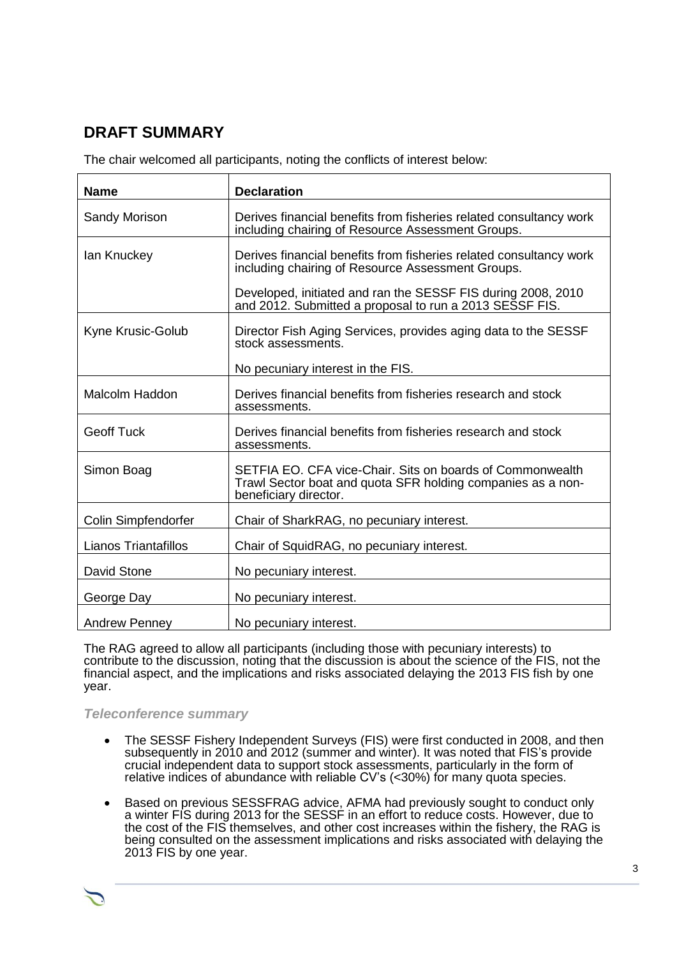# **DRAFT SUMMARY**

The chair welcomed all participants, noting the conflicts of interest below:

| <b>Name</b>                 | <b>Declaration</b>                                                                                                                                |
|-----------------------------|---------------------------------------------------------------------------------------------------------------------------------------------------|
| Sandy Morison               | Derives financial benefits from fisheries related consultancy work<br>including chairing of Resource Assessment Groups.                           |
| lan Knuckey                 | Derives financial benefits from fisheries related consultancy work<br>including chairing of Resource Assessment Groups.                           |
|                             | Developed, initiated and ran the SESSF FIS during 2008, 2010<br>and 2012. Submitted a proposal to run a 2013 SESSF FIS.                           |
| Kyne Krusic-Golub           | Director Fish Aging Services, provides aging data to the SESSF<br>stock assessments.                                                              |
|                             | No pecuniary interest in the FIS.                                                                                                                 |
| <b>Malcolm Haddon</b>       | Derives financial benefits from fisheries research and stock<br>assessments.                                                                      |
| <b>Geoff Tuck</b>           | Derives financial benefits from fisheries research and stock<br>assessments.                                                                      |
| Simon Boag                  | SETFIA EO. CFA vice-Chair. Sits on boards of Commonwealth<br>Trawl Sector boat and quota SFR holding companies as a non-<br>beneficiary director. |
| Colin Simpfendorfer         | Chair of SharkRAG, no pecuniary interest.                                                                                                         |
| <b>Lianos Triantafillos</b> | Chair of SquidRAG, no pecuniary interest.                                                                                                         |
| <b>David Stone</b>          | No pecuniary interest.                                                                                                                            |
| George Day                  | No pecuniary interest.                                                                                                                            |
| <b>Andrew Penney</b>        | No pecuniary interest.                                                                                                                            |

The RAG agreed to allow all participants (including those with pecuniary interests) to contribute to the discussion, noting that the discussion is about the science of the FIS, not the financial aspect, and the implications and risks associated delaying the 2013 FIS fish by one year.

#### *Teleconference summary*

- The SESSF Fishery Independent Surveys (FIS) were first conducted in 2008, and then subsequently in 2010 and 2012 (summer and winter). It was noted that FIS's provide crucial independent data to support stock assessments, particularly in the form of relative indices of abundance with reliable CV's (<30%) for many quota species.
- Based on previous SESSFRAG advice, AFMA had previously sought to conduct only a winter FIS during 2013 for the SESSF in an effort to reduce costs. However, due to the cost of the FIS themselves, and other cost increases within the fishery, the RAG is being consulted on the assessment implications and risks associated with delaying the 2013 FIS by one year.